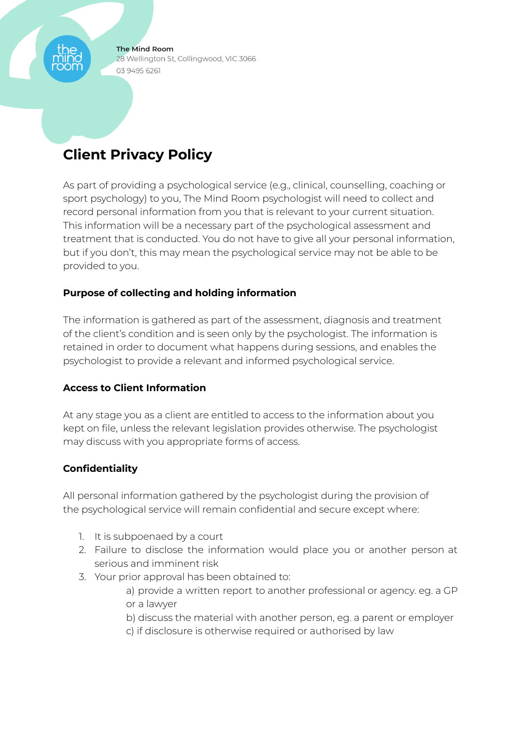**The Mind Room** 28 Wellington St, Collingwood, VIC 3066 03 9495 6261

# **Client Privacy Policy**

As part of providing a psychological service (e.g., clinical, counselling, coaching or sport psychology) to you, The Mind Room psychologist will need to collect and record personal information from you that is relevant to your current situation. This information will be a necessary part of the psychological assessment and treatment that is conducted. You do not have to give all your personal information, but if you don't, this may mean the psychological service may not be able to be provided to you.

## **Purpose of collecting and holding information**

The information is gathered as part of the assessment, diagnosis and treatment of the client's condition and is seen only by the psychologist. The information is retained in order to document what happens during sessions, and enables the psychologist to provide a relevant and informed psychological service.

## **Access to Client Information**

At any stage you as a client are entitled to access to the information about you kept on file, unless the relevant legislation provides otherwise. The psychologist may discuss with you appropriate forms of access.

## **Confidentiality**

All personal information gathered by the psychologist during the provision of the psychological service will remain confidential and secure except where:

- 1. It is subpoenaed by a court
- 2. Failure to disclose the information would place you or another person at serious and imminent risk
- 3. Your prior approval has been obtained to:
	- a) provide a written report to another professional or agency. eg. a GP or a lawyer
	- b) discuss the material with another person, eg. a parent or employer
	- c) if disclosure is otherwise required or authorised by law